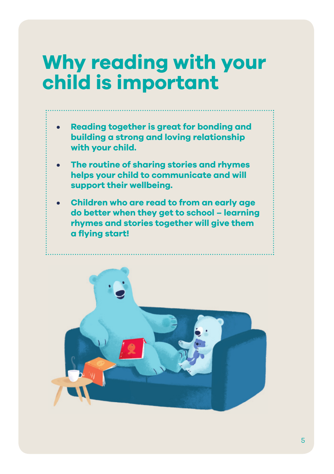# **Why reading with your child is important**

- **Reading together is great for bonding and building a strong and loving relationship with your child.**
- **The routine of sharing stories and rhymes helps your child to communicate and will support their wellbeing.**
- **Children who are read to from an early age do better when they get to school – learning rhymes and stories together will give them a fl ying start!**

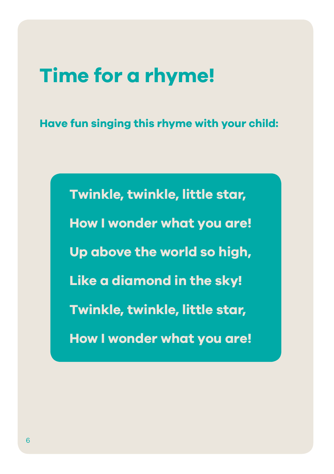## **Time for a rhyme!**

**Have fun singing this rhyme with your child:**

**Twinkle, twinkle, little star, How I wonder what you are! Up above the world so high, Like a diamond in the sky! Twinkle, twinkle, little star, How I wonder what you are!**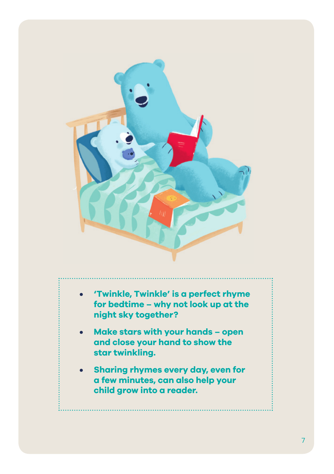

- **• 'Twinkle, Twinkle' is a perfect rhyme for bedtime – why not look up at the night sky together?**
- **Make stars with your hands open and close your hand to show the star twinkling.**
- **Sharing rhymes every day, even for a few minutes, can also help your child grow into a reader.**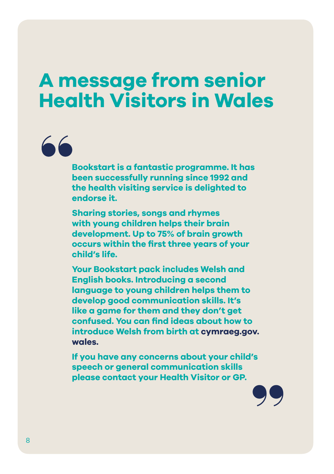### **A message from senior Health Visitors in Wales**

**Bookstart is a fantastic programme. It has been successfully running since 1992 and the health visiting service is delighted to endorse it.**

**Sharing stories, songs and rhymes with young children helps their brain development. Up to 75% of brain growth occurs within the first three years of your child's life.**

**Your Bookstart pack includes Welsh and English books. Introducing a second language to young children helps them to develop good communication skills. It's like a game for them and they don't get confused. You can find ideas about how to introduce Welsh from birth at cymraeg.gov. wales.**

**If you have any concerns about your child's speech or general communication skills please contact your Health Visitor or GP.**

66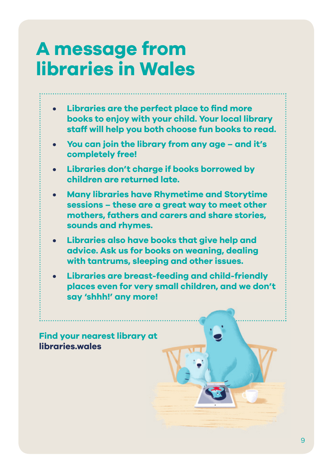### **A message from libraries in Wales**

- **Libraries are the perfect place to find more books to enjoy with your child. Your local library staff will help you both choose fun books to read.**
- **• You can join the library from any age and it's completely free!**
- **• Libraries don't charge if books borrowed by children are returned late.**
- **• Many libraries have Rhymetime and Storytime sessions – these are a great way to meet other mothers, fathers and carers and share stories, sounds and rhymes.**
- **Libraries also have books that give help and advice. Ask us for books on weaning, dealing with tantrums, sleeping and other issues.**
- **• Libraries are breast-feeding and child-friendly places even for very small children, and we don't say 'shhh!' any more!**

**Find your nearest library at libraries.wales**